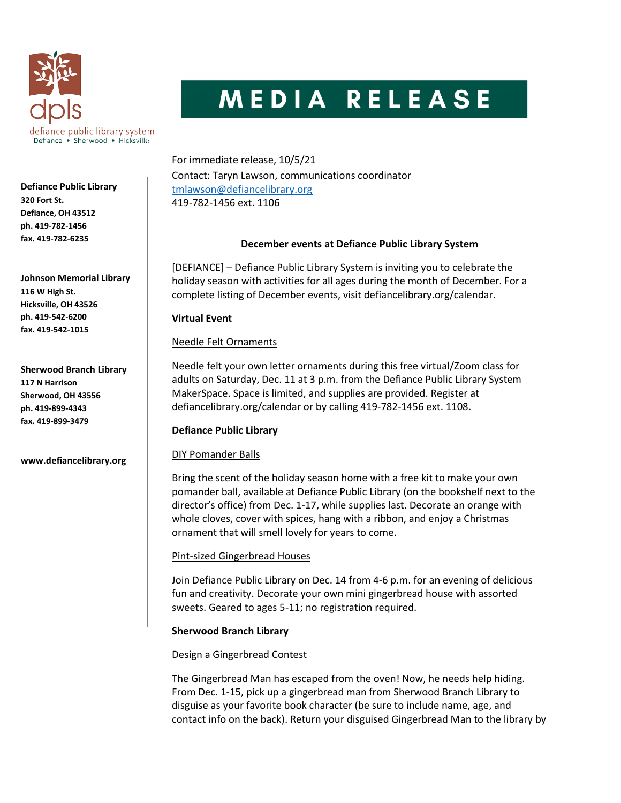

# MEDIA RELEASE

For immediate release, 10/5/21 Contact: Taryn Lawson, communications coordinator tmlawson@defiancelibrary.org 419-782-1456 ext. 1106

# December events at Defiance Public Library System

[DEFIANCE] – Defiance Public Library System is inviting you to celebrate the holiday season with activities for all ages during the month of December. For a complete listing of December events, visit defiancelibrary.org/calendar.

### Virtual Event

# Needle Felt Ornaments

Needle felt your own letter ornaments during this free virtual/Zoom class for adults on Saturday, Dec. 11 at 3 p.m. from the Defiance Public Library System MakerSpace. Space is limited, and supplies are provided. Register at defiancelibrary.org/calendar or by calling 419-782-1456 ext. 1108.

# Defiance Public Library

# DIY Pomander Balls

Bring the scent of the holiday season home with a free kit to make your own pomander ball, available at Defiance Public Library (on the bookshelf next to the director's office) from Dec. 1-17, while supplies last. Decorate an orange with whole cloves, cover with spices, hang with a ribbon, and enjoy a Christmas ornament that will smell lovely for years to come.

# Pint-sized Gingerbread Houses

Join Defiance Public Library on Dec. 14 from 4-6 p.m. for an evening of delicious fun and creativity. Decorate your own mini gingerbread house with assorted sweets. Geared to ages 5-11; no registration required.

# Sherwood Branch Library

# Design a Gingerbread Contest

The Gingerbread Man has escaped from the oven! Now, he needs help hiding. From Dec. 1-15, pick up a gingerbread man from Sherwood Branch Library to disguise as your favorite book character (be sure to include name, age, and contact info on the back). Return your disguised Gingerbread Man to the library by

Defiance Public Library 320 Fort St. Defiance, OH 43512 ph. 419-782-1456 fax. 419-782-6235

Johnson Memorial Library 116 W High St. Hicksville, OH 43526 ph. 419-542-6200 fax. 419-542-1015

Sherwood Branch Library 117 N Harrison Sherwood, OH 43556 ph. 419-899-4343 fax. 419-899-3479

www.defiancelibrary.org